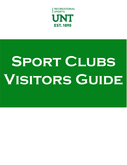

# SPORT CLUBS **Visitors Guide**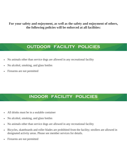**For your safety and enjoyment, as well as the safety and enjoyment of others, the following policies will be enforced at all facilities:**

# **OUTDOOR FACILITY POLICIES**

- No animals other than service dogs are allowed in any recreational facility
- No alcohol, smoking, and glass bottles
- Firearms are not permitted

## **INDOOR FACILITY POLICIES**

- All drinks must be in a sealable container
- No alcohol, smoking, and glass bottles
- No animals other than service dogs are allowed in any recreational facility
- Bicycles, skateboards and roller blades are prohibited from the facility; strollers are allowed in designated activity areas. Please see member services for details.
- Firearms are not permitted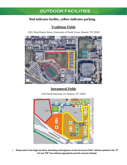# **OUTDOOR FACILITIES**

## **Red indicates facility, yellow indicates parking.**

### **Traditions Fields**

2201 West Prairie Street, University of North Texas, Denton, TX 76201



## **Intramural Fields**

2310 North Interstate 35, Denton, TX 76205



• **Please park in the Eagle lot when attending events/games at the Intramural Field. Vehicles parked in the "R" lot and "RR" lots without appropriate permits may be ticketed.**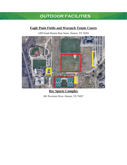# **OUTDOOR FACILITIES**

### **Eagle Point Fields and Waranch Tennis Courts**

1499 South Bonnie Brae Street, Denton, TX 76205



**Rec Sports Complex** 901 Precision Drive, Denton, TX 76207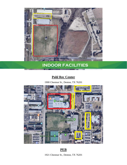

## **INDOOR FACILITIES**

#### **Pohl Rec Center**

1900 Chestnut St., Denton, TX 76201



#### **PEB**

1921 Chestnut St., Denton, TX 76201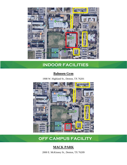

# **INDOOR FACILITIES**

#### **Bahnsen Gym**

1908 W. Highland St., Denton, TX 76201



## **OFF CAMPUS FACILITY**

## **MACK PARK**

2000 E. McKinney St., Denton, TX 76209